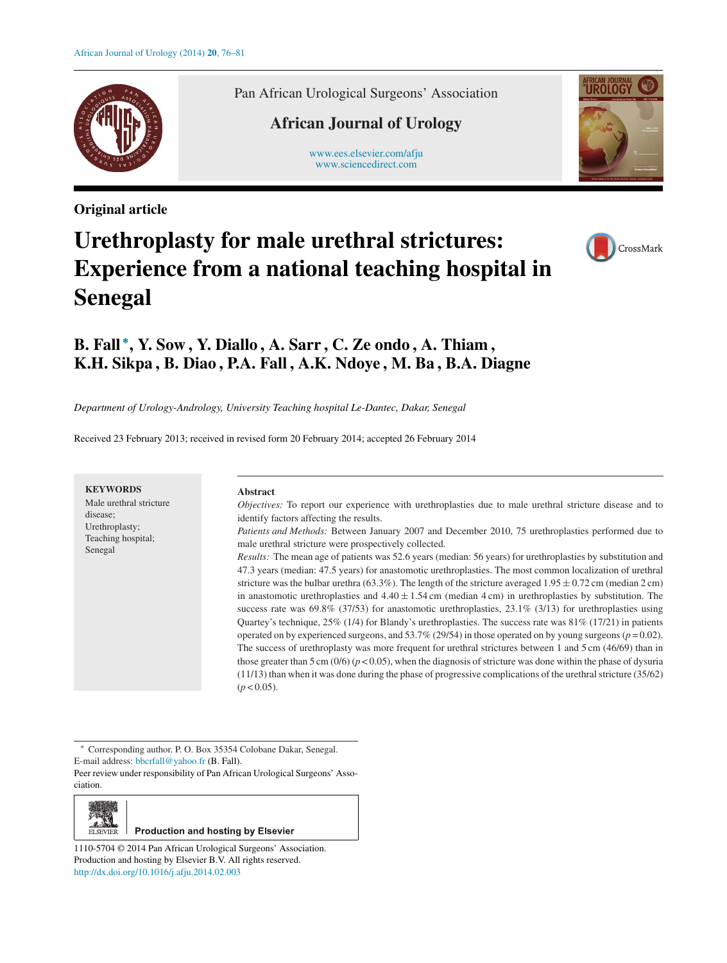

**Original article**

Pan African Urological Surgeons' Association

### **African Journal of Urology**

[www.ees.elsevier.com/afju](http://www.ees.elsevier.com/afju) [www.sciencedirect.com](http://www.sciencedirect.com/science/journal/11105704)



# **Urethroplasty for male urethral strictures: Experience from a national teaching hospital in Senegal**



## **B. Fall <sup>∗</sup>, Y. Sow , Y. Diallo , A. Sarr , C. Ze ondo , A. Thiam , K.H. Sikpa , B. Diao , P.A. Fall , A.K. Ndoye , M. Ba , B.A. Diagne**

*Department of Urology-Andrology, University Teaching hospital Le-Dantec, Dakar, Senegal*

Received 23 February 2013; received in revised form 20 February 2014; accepted 26 February 2014

| <b>KEYWORDS</b><br>Male urethral stricture<br>disease;<br>Urethroplasty;<br>Teaching hospital;<br>Senegal | <b>Abstract</b>                                                                                                                                                                                                                                                                                                                                                                                                                                                                                                                                                                                                                                                                                                                                                                                                                                                                                                                                                                                                              |
|-----------------------------------------------------------------------------------------------------------|------------------------------------------------------------------------------------------------------------------------------------------------------------------------------------------------------------------------------------------------------------------------------------------------------------------------------------------------------------------------------------------------------------------------------------------------------------------------------------------------------------------------------------------------------------------------------------------------------------------------------------------------------------------------------------------------------------------------------------------------------------------------------------------------------------------------------------------------------------------------------------------------------------------------------------------------------------------------------------------------------------------------------|
|                                                                                                           | <i>Objectives:</i> To report our experience with urethroplasties due to male urethral stricture disease and to<br>identify factors affecting the results.<br>Patients and Methods: Between January 2007 and December 2010, 75 urethroplasties performed due to<br>male urethral stricture were prospectively collected.<br><i>Results:</i> The mean age of patients was 52.6 years (median: 56 years) for urethroplastics by substitution and<br>47.3 years (median: 47.5 years) for anastomotic urethroplasties. The most common localization of urethral<br>stricture was the bulbar urethra (63.3%). The length of the stricture averaged $1.95 \pm 0.72$ cm (median 2 cm)<br>in anastomotic urethroplasties and $4.40 \pm 1.54$ cm (median 4 cm) in urethroplasties by substitution. The<br>success rate was $69.8\%$ (37/53) for anastomotic urethroplasties, 23.1% (3/13) for urethroplasties using<br>Quartey's technique, $25\%$ (1/4) for Blandy's urethroplastics. The success rate was $81\%$ (17/21) in patients |
|                                                                                                           | operated on by experienced surgeons, and 53.7% (29/54) in those operated on by young surgeons ( $p = 0.02$ ).<br>The success of urethroplasty was more frequent for urethral strictures between 1 and 5 cm (46/69) than in<br>those greater than 5 cm (0/6) ( $p < 0.05$ ), when the diagnosis of stricture was done within the phase of dysuria<br>$(11/13)$ than when it was done during the phase of progressive complications of the urethral stricture (35/62)<br>$(p < 0.05)$ .                                                                                                                                                                                                                                                                                                                                                                                                                                                                                                                                        |

∗ Corresponding author. P. O. Box 35354 Colobane Dakar, Senegal.

E-mail address: [bbcrfall@yahoo.fr](mailto:bbcrfall@yahoo.fr) (B. Fall).

Peer review under responsibility of Pan African Urological Surgeons' Association.



#### **Production and hosting by Elsevier**

1110-5704 © 2014 Pan African Urological Surgeons' Association. Production and hosting by Elsevier B.V. All rights reserved. [http://dx.doi.org/10.1016/j.afju.2014.02.003](dx.doi.org/10.1016/j.afju.2014.02.003)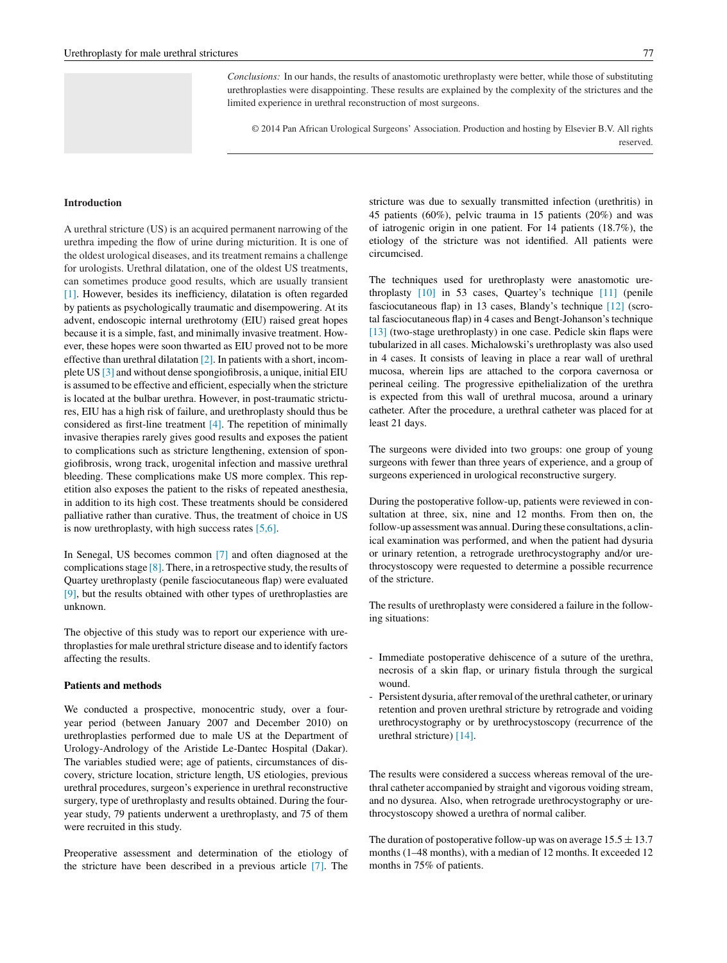*Conclusions:* In our hands, the results of anastomotic urethroplasty were better, while those of substituting urethroplasties were disappointing. These results are explained by the complexity of the strictures and the limited experience in urethral reconstruction of most surgeons.

© 2014 Pan African Urological Surgeons' Association. Production and hosting by Elsevier B.V. All rights reserved.

#### **Introduction**

A urethral stricture (US) is an acquired permanent narrowing of the urethra impeding the flow of urine during micturition. It is one of the oldest urological diseases, and its treatment remains a challenge for urologists. Urethral dilatation, one of the oldest US treatments, can sometimes produce good results, which are usually transient [\[1\].](#page-4-0) However, besides its inefficiency, dilatation is often regarded by patients as psychologically traumatic and disempowering. At its advent, endoscopic internal urethrotomy (EIU) raised great hopes because it is a simple, fast, and minimally invasive treatment. However, these hopes were soon thwarted as EIU proved not to be more effective than urethral dilatation [\[2\]. I](#page-4-0)n patients with a short, incomplete US [\[3\]](#page-4-0) and without dense spongiofibrosis, a unique, initial EIU is assumed to be effective and efficient, especially when the stricture is located at the bulbar urethra. However, in post-traumatic strictures, EIU has a high risk of failure, and urethroplasty should thus be considered as first-line treatment [\[4\].](#page-4-0) The repetition of minimally invasive therapies rarely gives good results and exposes the patient to complications such as stricture lengthening, extension of spongiofibrosis, wrong track, urogenital infection and massive urethral bleeding. These complications make US more complex. This repetition also exposes the patient to the risks of repeated anesthesia, in addition to its high cost. These treatments should be considered palliative rather than curative. Thus, the treatment of choice in US is now urethroplasty, with high success rates [\[5,6\].](#page-4-0)

In Senegal, US becomes common [\[7\]](#page-4-0) and often diagnosed at the complications stage [\[8\]. T](#page-4-0)here, in a retrospective study, the results of Quartey urethroplasty (penile fasciocutaneous flap) were evaluated [\[9\], b](#page-4-0)ut the results obtained with other types of urethroplasties are unknown.

The objective of this study was to report our experience with urethroplasties for male urethral stricture disease and to identify factors affecting the results.

#### **Patients and methods**

We conducted a prospective, monocentric study, over a fouryear period (between January 2007 and December 2010) on urethroplasties performed due to male US at the Department of Urology-Andrology of the Aristide Le-Dantec Hospital (Dakar). The variables studied were; age of patients, circumstances of discovery, stricture location, stricture length, US etiologies, previous urethral procedures, surgeon's experience in urethral reconstructive surgery, type of urethroplasty and results obtained. During the fouryear study, 79 patients underwent a urethroplasty, and 75 of them were recruited in this study.

Preoperative assessment and determination of the etiology of the stricture have been described in a previous article [\[7\].](#page-4-0) The stricture was due to sexually transmitted infection (urethritis) in

45 patients (60%), pelvic trauma in 15 patients (20%) and was of iatrogenic origin in one patient. For 14 patients (18.7%), the etiology of the stricture was not identified. All patients were circumcised.

The techniques used for urethroplasty were anastomotic urethroplasty [\[10\]](#page-4-0) in 53 cases, Quartey's technique [\[11\]](#page-4-0) (penile fasciocutaneous flap) in 13 cases, Blandy's technique [\[12\]](#page-4-0) (scrotal fasciocutaneous flap) in 4 cases and Bengt-Johanson's technique [\[13\]](#page-4-0) (two-stage urethroplasty) in one case. Pedicle skin flaps were tubularized in all cases. Michalowski's urethroplasty was also used in 4 cases. It consists of leaving in place a rear wall of urethral mucosa, wherein lips are attached to the corpora cavernosa or perineal ceiling. The progressive epithelialization of the urethra is expected from this wall of urethral mucosa, around a urinary catheter. After the procedure, a urethral catheter was placed for at least 21 days.

The surgeons were divided into two groups: one group of young surgeons with fewer than three years of experience, and a group of surgeons experienced in urological reconstructive surgery.

During the postoperative follow-up, patients were reviewed in consultation at three, six, nine and 12 months. From then on, the follow-up assessment was annual. During these consultations, a clinical examination was performed, and when the patient had dysuria or urinary retention, a retrograde urethrocystography and/or urethrocystoscopy were requested to determine a possible recurrence of the stricture.

The results of urethroplasty were considered a failure in the following situations:

- Immediate postoperative dehiscence of a suture of the urethra, necrosis of a skin flap, or urinary fistula through the surgical wound.
- Persistent dysuria, after removal of the urethral catheter, or urinary retention and proven urethral stricture by retrograde and voiding urethrocystography or by urethrocystoscopy (recurrence of the urethral stricture) [\[14\].](#page-4-0)

The results were considered a success whereas removal of the urethral catheter accompanied by straight and vigorous voiding stream, and no dysurea. Also, when retrograde urethrocystography or urethrocystoscopy showed a urethra of normal caliber.

The duration of postoperative follow-up was on average  $15.5 \pm 13.7$ months (1–48 months), with a median of 12 months. It exceeded 12 months in 75% of patients.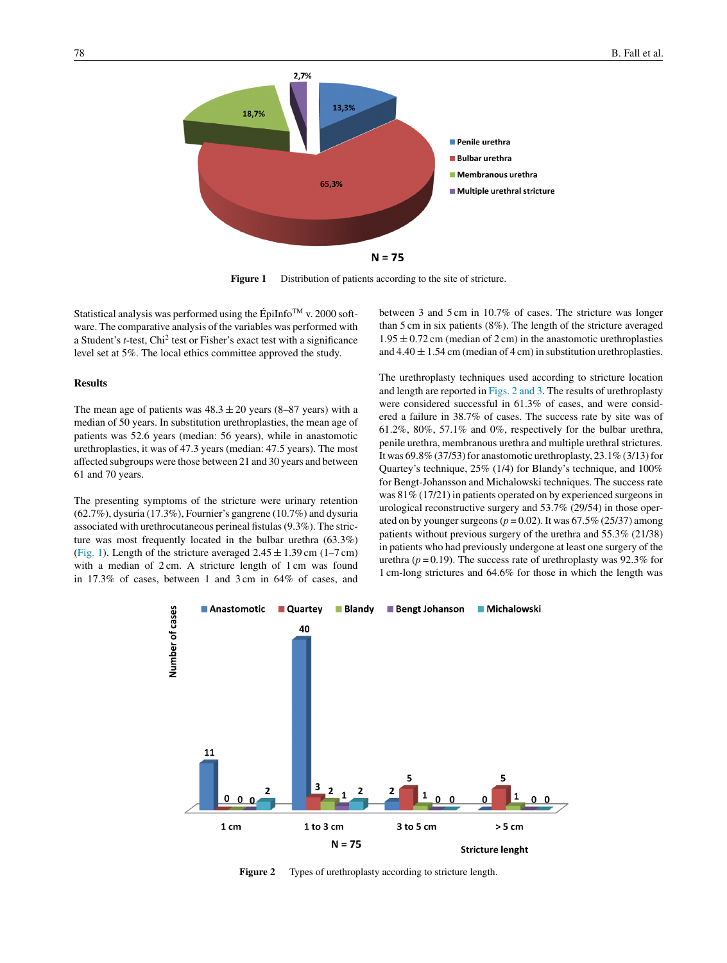

**Figure 1** Distribution of patients according to the site of stricture.

Statistical analysis was performed using the ÉpiInfo<sup>TM</sup> v. 2000 software. The comparative analysis of the variables was performed with a Student's *t*-test, Chi<sup>2</sup> test or Fisher's exact test with a significance level set at 5%. The local ethics committee approved the study.

#### **Results**

The mean age of patients was  $48.3 \pm 20$  years (8–87 years) with a median of 50 years. In substitution urethroplasties, the mean age of patients was 52.6 years (median: 56 years), while in anastomotic urethroplasties, it was of 47.3 years (median: 47.5 years). The most affected subgroups were those between 21 and 30 years and between 61 and 70 years.

The presenting symptoms of the stricture were urinary retention (62.7%), dysuria (17.3%), Fournier's gangrene (10.7%) and dysuria associated with urethrocutaneous perineal fistulas (9.3%). The stricture was most frequently located in the bulbar urethra (63.3%) (Fig. 1). Length of the stricture averaged  $2.45 \pm 1.39$  cm (1–7 cm) with a median of 2 cm. A stricture length of 1 cm was found in 17.3% of cases, between 1 and 3 cm in 64% of cases, and between 3 and 5 cm in 10.7% of cases. The stricture was longer than 5 cm in six patients (8%). The length of the stricture averaged  $1.95 \pm 0.72$  cm (median of 2 cm) in the anastomotic urethroplasties and  $4.40 \pm 1.54$  cm (median of 4 cm) in substitution urethroplasties.

The urethroplasty techniques used according to stricture location and length are reported in Figs. 2 and 3. The results of urethroplasty were considered successful in 61.3% of cases, and were considered a failure in 38.7% of cases. The success rate by site was of 61.2%, 80%, 57.1% and 0%, respectively for the bulbar urethra, penile urethra, membranous urethra and multiple urethral strictures. It was 69.8% (37/53) for anastomotic urethroplasty, 23.1% (3/13) for Quartey's technique, 25% (1/4) for Blandy's technique, and 100% for Bengt-Johansson and Michalowski techniques. The success rate was 81% (17/21) in patients operated on by experienced surgeons in urological reconstructive surgery and 53.7% (29/54) in those operated on by younger surgeons ( $p = 0.02$ ). It was 67.5% (25/37) among patients without previous surgery of the urethra and 55.3% (21/38) in patients who had previously undergone at least one surgery of the urethra ( $p = 0.19$ ). The success rate of urethroplasty was 92.3% for 1 cm-long strictures and 64.6% for those in which the length was



Figure 2 Types of urethroplasty according to stricture length.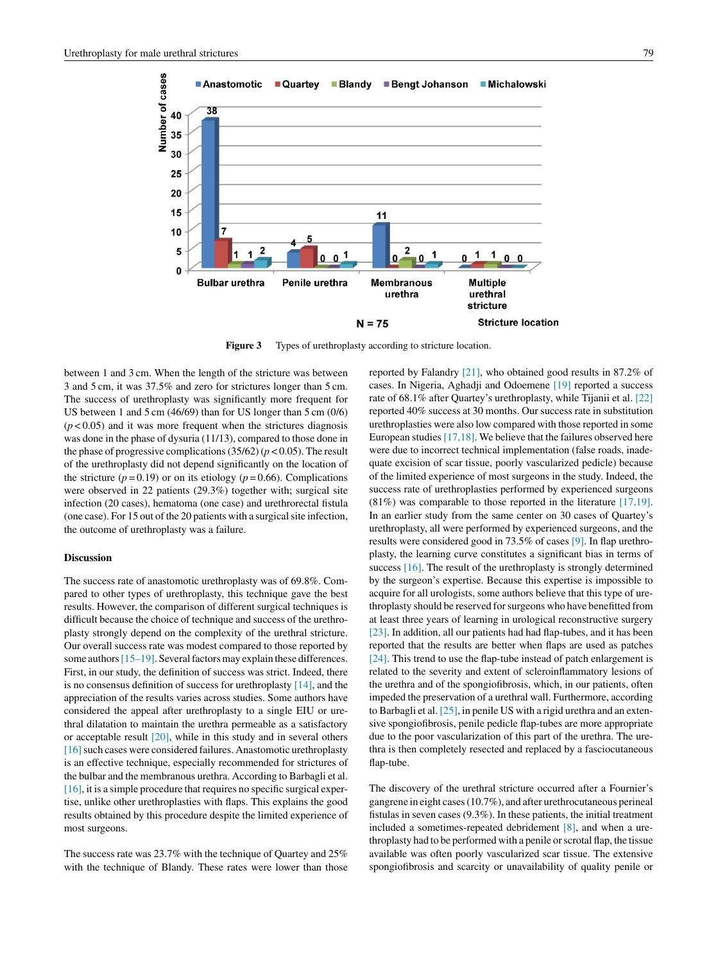

**Figure 3** Types of urethroplasty according to stricture location.

between 1 and 3 cm. When the length of the stricture was between 3 and 5 cm, it was 37.5% and zero for strictures longer than 5 cm. The success of urethroplasty was significantly more frequent for US between 1 and 5 cm (46/69) than for US longer than 5 cm (0/6)  $(p<0.05)$  and it was more frequent when the strictures diagnosis was done in the phase of dysuria (11/13), compared to those done in the phase of progressive complications  $(35/62)$  ( $p < 0.05$ ). The result of the urethroplasty did not depend significantly on the location of the stricture ( $p = 0.19$ ) or on its etiology ( $p = 0.66$ ). Complications were observed in 22 patients (29.3%) together with; surgical site infection (20 cases), hematoma (one case) and urethrorectal fistula (one case). For 15 out of the 20 patients with a surgical site infection, the outcome of urethroplasty was a failure.

#### **Discussion**

The success rate of anastomotic urethroplasty was of 69.8%. Compared to other types of urethroplasty, this technique gave the best results. However, the comparison of different surgical techniques is difficult because the choice of technique and success of the urethroplasty strongly depend on the complexity of the urethral stricture. Our overall success rate was modest compared to those reported by some authors  $[15–19]$ . Several factors may explain these differences. First, in our study, the definition of success was strict. Indeed, there is no consensus definition of success for urethroplasty [\[14\], a](#page-4-0)nd the appreciation of the results varies across studies. Some authors have considered the appeal after urethroplasty to a single EIU or urethral dilatation to maintain the urethra permeable as a satisfactory or acceptable result [\[20\], w](#page-4-0)hile in this study and in several others [16] such cases were considered failures. Anastomotic urethroplasty is an effective technique, especially recommended for strictures of the bulbar and the membranous urethra. According to Barbagli et al.  $[16]$ , it is a simple procedure that requires no specific surgical expertise, unlike other urethroplasties with flaps. This explains the good results obtained by this procedure despite the limited experience of most surgeons.

The success rate was 23.7% with the technique of Quartey and 25% with the technique of Blandy. These rates were lower than those reported by Falandry [\[21\], w](#page-4-0)ho obtained good results in 87.2% of cases. In Nigeria, Aghadji and Odoemene [\[19\]](#page-4-0) reported a success rate of 68.1% after Quartey's urethroplasty, while Tijanii et al. [\[22\]](#page-4-0) reported 40% success at 30 months. Our success rate in substitution urethroplasties were also low compared with those reported in some European studies  $[17,18]$ . We believe that the failures observed here were due to incorrect technical implementation (false roads, inadequate excision of scar tissue, poorly vascularized pedicle) because of the limited experience of most surgeons in the study. Indeed, the success rate of urethroplasties performed by experienced surgeons (81%) was comparable to those reported in the literature [\[17,19\].](#page-4-0) In an earlier study from the same center on 30 cases of Quartey's urethroplasty, all were performed by experienced surgeons, and the results were considered good in 73.5% of cases [\[9\]. I](#page-4-0)n flap urethroplasty, the learning curve constitutes a significant bias in terms of success [\[16\]. T](#page-4-0)he result of the urethroplasty is strongly determined by the surgeon's expertise. Because this expertise is impossible to acquire for all urologists, some authors believe that this type of urethroplasty should be reserved for surgeons who have benefitted from at least three years of learning in urological reconstructive surgery [\[23\]. I](#page-4-0)n addition, all our patients had had flap-tubes, and it has been reported that the results are better when flaps are used as patches [\[24\]. T](#page-4-0)his trend to use the flap-tube instead of patch enlargement is related to the severity and extent of scleroinflammatory lesions of the urethra and of the spongiofibrosis, which, in our patients, often impeded the preservation of a urethral wall. Furthermore, according to Barbagli et al. [\[25\], i](#page-5-0)n penile US with a rigid urethra and an extensive spongiofibrosis, penile pedicle flap-tubes are more appropriate due to the poor vascularization of this part of the urethra. The urethra is then completely resected and replaced by a fasciocutaneous flap-tube.

The discovery of the urethral stricture occurred after a Fournier's gangrene in eight cases (10.7%), and after urethrocutaneous perineal fistulas in seven cases (9.3%). In these patients, the initial treatment included a sometimes-repeated debridement [\[8\],](#page-4-0) and when a urethroplasty had to be performed with a penile or scrotal flap, the tissue available was often poorly vascularized scar tissue. The extensive spongiofibrosis and scarcity or unavailability of quality penile or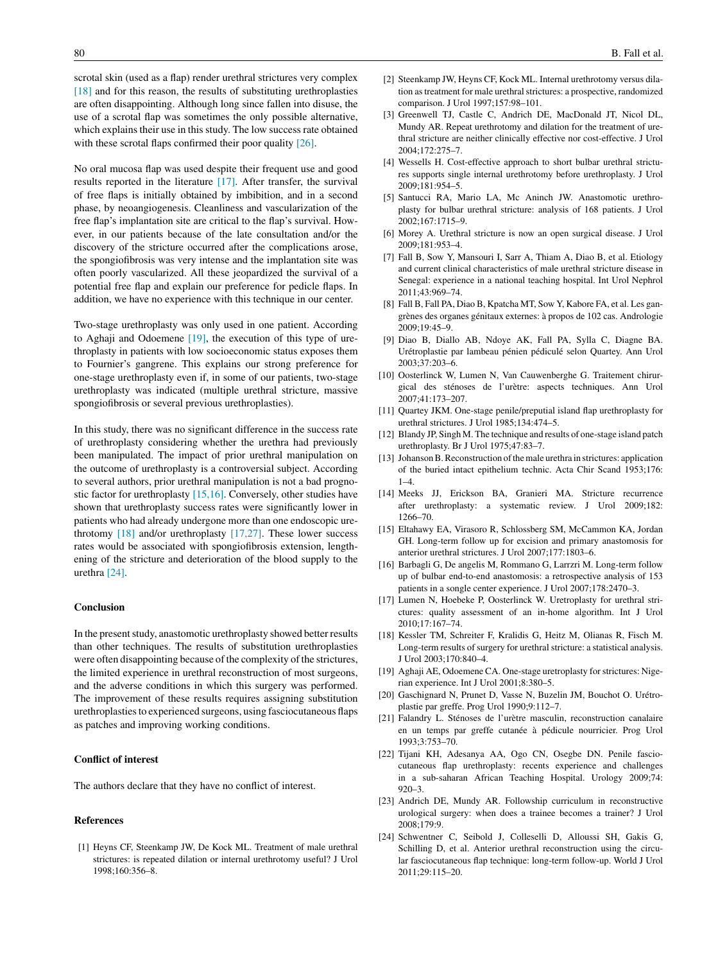<span id="page-4-0"></span>scrotal skin (used as a flap) render urethral strictures very complex [18] and for this reason, the results of substituting urethroplasties are often disappointing. Although long since fallen into disuse, the use of a scrotal flap was sometimes the only possible alternative, which explains their use in this study. The low success rate obtained with these scrotal flaps confirmed their poor quality [\[26\].](#page-5-0)

No oral mucosa flap was used despite their frequent use and good results reported in the literature [17]. After transfer, the survival of free flaps is initially obtained by imbibition, and in a second phase, by neoangiogenesis. Cleanliness and vascularization of the free flap's implantation site are critical to the flap's survival. However, in our patients because of the late consultation and/or the discovery of the stricture occurred after the complications arose, the spongiofibrosis was very intense and the implantation site was often poorly vascularized. All these jeopardized the survival of a potential free flap and explain our preference for pedicle flaps. In addition, we have no experience with this technique in our center.

Two-stage urethroplasty was only used in one patient. According to Aghaji and Odoemene [19], the execution of this type of urethroplasty in patients with low socioeconomic status exposes them to Fournier's gangrene. This explains our strong preference for one-stage urethroplasty even if, in some of our patients, two-stage urethroplasty was indicated (multiple urethral stricture, massive spongiofibrosis or several previous urethroplasties).

In this study, there was no significant difference in the success rate of urethroplasty considering whether the urethra had previously been manipulated. The impact of prior urethral manipulation on the outcome of urethroplasty is a controversial subject. According to several authors, prior urethral manipulation is not a bad prognostic factor for urethroplasty  $[15,16]$ . Conversely, other studies have shown that urethroplasty success rates were significantly lower in patients who had already undergone more than one endoscopic urethrotomy [18] and/or urethroplasty [17,27]. These lower success rates would be associated with spongiofibrosis extension, lengthening of the stricture and deterioration of the blood supply to the urethra [24].

#### **Conclusion**

In the present study, anastomotic urethroplasty showed better results than other techniques. The results of substitution urethroplasties were often disappointing because of the complexity of the strictures, the limited experience in urethral reconstruction of most surgeons, and the adverse conditions in which this surgery was performed. The improvement of these results requires assigning substitution urethroplasties to experienced surgeons, using fasciocutaneous flaps as patches and improving working conditions.

#### **Conflict of interest**

The authors declare that they have no conflict of interest.

#### **References**

[1] Heyns CF, Steenkamp JW, De Kock ML. Treatment of male urethral strictures: is repeated dilation or internal urethrotomy useful? J Urol 1998;160:356–8.

- [2] Steenkamp JW, Heyns CF, Kock ML. Internal urethrotomy versus dilation as treatment for male urethral strictures: a prospective, randomized comparison. J Urol 1997;157:98–101.
- [3] Greenwell TJ, Castle C, Andrich DE, MacDonald JT, Nicol DL, Mundy AR. Repeat urethrotomy and dilation for the treatment of urethral stricture are neither clinically effective nor cost-effective. J Urol 2004;172:275–7.
- [4] Wessells H. Cost-effective approach to short bulbar urethral strictures supports single internal urethrotomy before urethroplasty. J Urol 2009;181:954–5.
- [5] Santucci RA, Mario LA, Mc Aninch JW. Anastomotic urethroplasty for bulbar urethral stricture: analysis of 168 patients. J Urol  $2002:167:1715-9$
- [6] Morey A. Urethral stricture is now an open surgical disease. J Urol 2009;181:953–4.
- [7] Fall B, Sow Y, Mansouri I, Sarr A, Thiam A, Diao B, et al. Etiology and current clinical characteristics of male urethral stricture disease in Senegal: experience in a national teaching hospital. Int Urol Nephrol 2011;43:969–74.
- [8] Fall B, Fall PA, Diao B, Kpatcha MT, Sow Y, Kabore FA, et al. Les gangrènes des organes génitaux externes: à propos de 102 cas. Andrologie  $2009:19:45-9$
- [9] Diao B, Diallo AB, Ndoye AK, Fall PA, Sylla C, Diagne BA. Urétroplastie par lambeau pénien pédiculé selon Quartey. Ann Urol 2003;37:203–6.
- [10] Oosterlinck W, Lumen N, Van Cauwenberghe G. Traitement chirurgical des sténoses de l'urètre: aspects techniques. Ann Urol 2007;41:173–207.
- [11] Quartey JKM. One-stage penile/preputial island flap urethroplasty for urethral strictures. J Urol 1985;134:474–5.
- [12] Blandy JP, Singh M. The technique and results of one-stage island patch urethroplasty. Br J Urol 1975;47:83–7.
- [13] Johanson B. Reconstruction of the male urethra in strictures: application of the buried intact epithelium technic. Acta Chir Scand 1953;176:  $1-4.$
- [14] Meeks JJ, Erickson BA, Granieri MA. Stricture recurrence after urethroplasty: a systematic review. J Urol 2009;182: 1266–70.
- [15] Eltahawy EA, Virasoro R, Schlossberg SM, McCammon KA, Jordan GH. Long-term follow up for excision and primary anastomosis for anterior urethral strictures. J Urol 2007;177:1803–6.
- [16] Barbagli G, De angelis M, Rommano G, Larrzri M. Long-term follow up of bulbar end-to-end anastomosis: a retrospective analysis of 153 patients in a songle center experience. J Urol 2007;178:2470–3.
- [17] Lumen N, Hoebeke P, Oosterlinck W. Uretroplasty for urethral strictures: quality assessment of an in-home algorithm. Int J Urol 2010;17:167–74.
- [18] Kessler TM, Schreiter F, Kralidis G, Heitz M, Olianas R, Fisch M. Long-term results of surgery for urethral stricture: a statistical analysis. J Urol 2003;170:840–4.
- [19] Aghaji AE, Odoemene CA. One-stage uretroplasty for strictures: Nigerian experience. Int J Urol 2001;8:380–5.
- [20] Gaschignard N, Prunet D, Vasse N, Buzelin JM, Bouchot O. Urétroplastie par greffe. Prog Urol 1990;9:112–7.
- [21] Falandry L. Sténoses de l'urètre masculin, reconstruction canalaire en un temps par greffe cutanée à pédicule nourricier. Prog Urol 1993;3:753–70.
- [22] Tijani KH, Adesanya AA, Ogo CN, Osegbe DN. Penile fasciocutaneous flap urethroplasty: recents experience and challenges in a sub-saharan African Teaching Hospital. Urology 2009;74: 920–3.
- [23] Andrich DE, Mundy AR. Followship curriculum in reconstructive urological surgery: when does a trainee becomes a trainer? J Urol 2008;179:9.
- [24] Schwentner C, Seibold J, Colleselli D, Alloussi SH, Gakis G, Schilling D, et al. Anterior urethral reconstruction using the circular fasciocutaneous flap technique: long-term follow-up. World J Urol 2011;29:115–20.